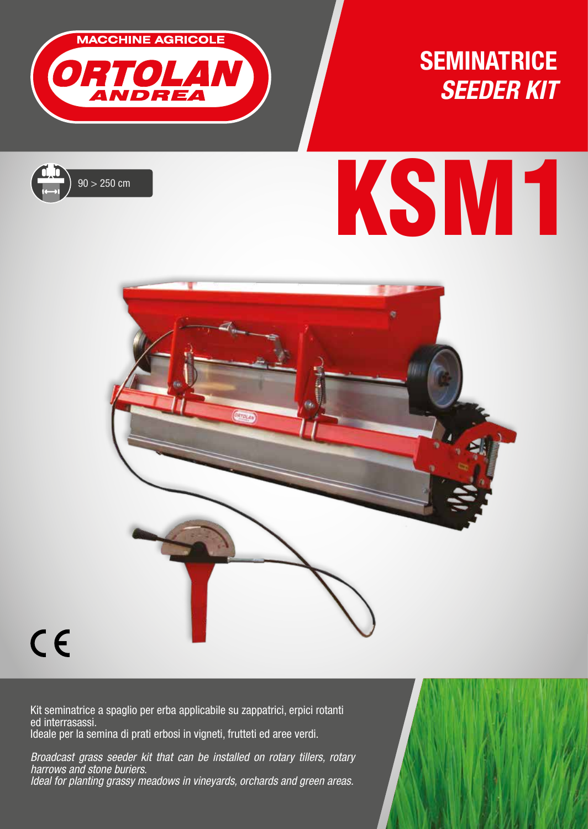

## **SEMINATRICE** *SEEDER KIT*



# $90 > 250 \text{ cm}$



 $C \in$ 

Kit seminatrice a spaglio per erba applicabile su zappatrici, erpici rotanti ed interrasassi. Ideale per la semina di prati erbosi in vigneti, frutteti ed aree verdi.

*Broadcast grass seeder kit that can be installed on rotary tillers, rotary harrows and stone buriers. Ideal for planting grassy meadows in vineyards, orchards and green areas.*